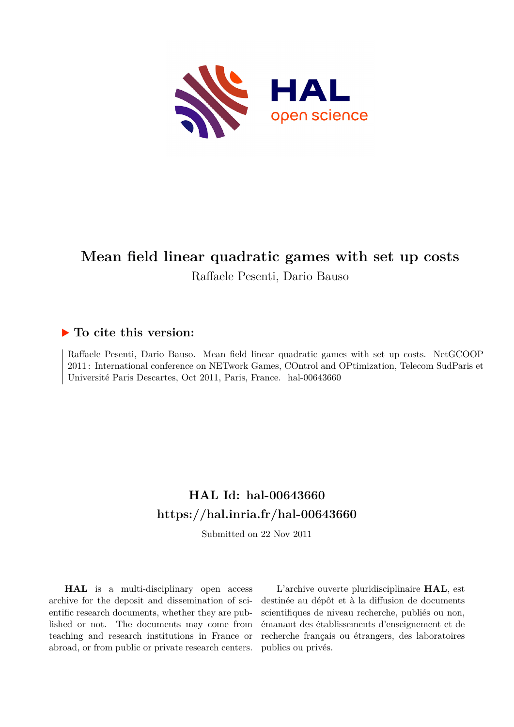

## **Mean field linear quadratic games with set up costs** Raffaele Pesenti, Dario Bauso

### **To cite this version:**

Raffaele Pesenti, Dario Bauso. Mean field linear quadratic games with set up costs. NetGCOOP 2011 : International conference on NETwork Games, COntrol and OPtimization, Telecom SudParis et Université Paris Descartes, Oct 2011, Paris, France. hal-00643660

### **HAL Id: hal-00643660 <https://hal.inria.fr/hal-00643660>**

Submitted on 22 Nov 2011

**HAL** is a multi-disciplinary open access archive for the deposit and dissemination of scientific research documents, whether they are published or not. The documents may come from teaching and research institutions in France or abroad, or from public or private research centers.

L'archive ouverte pluridisciplinaire **HAL**, est destinée au dépôt et à la diffusion de documents scientifiques de niveau recherche, publiés ou non, émanant des établissements d'enseignement et de recherche français ou étrangers, des laboratoires publics ou privés.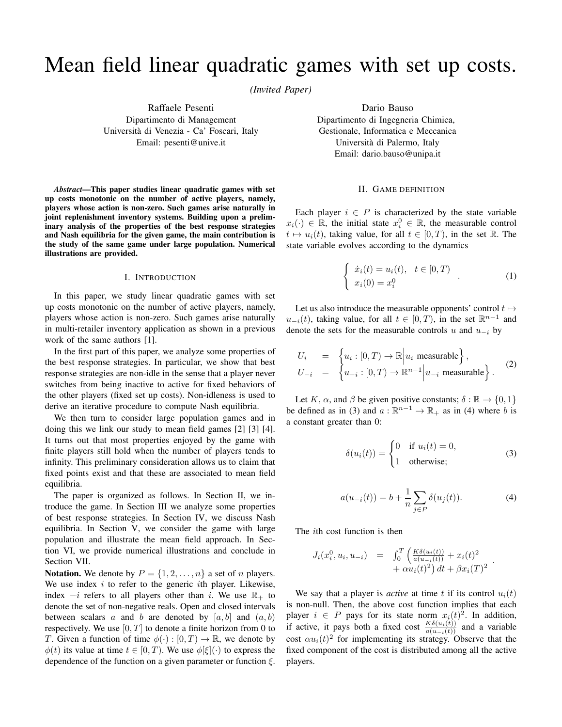# Mean field linear quadratic games with set up costs.

*(Invited Paper)*

Raffaele Pesenti Dipartimento di Management Universita di Venezia - Ca' Foscari, Italy ` Email: pesenti@unive.it

*Abstract*—This paper studies linear quadratic games with set up costs monotonic on the number of active players, namely, players whose action is non-zero. Such games arise naturally in joint replenishment inventory systems. Building upon a preliminary analysis of the properties of the best response strategies and Nash equilibria for the given game, the main contribution is the study of the same game under large population. Numerical illustrations are provided.

#### I. INTRODUCTION

In this paper, we study linear quadratic games with set up costs monotonic on the number of active players, namely, players whose action is non-zero. Such games arise naturally in multi-retailer inventory application as shown in a previous work of the same authors [1].

In the first part of this paper, we analyze some properties of the best response strategies. In particular, we show that best response strategies are non-idle in the sense that a player never switches from being inactive to active for fixed behaviors of the other players (fixed set up costs). Non-idleness is used to derive an iterative procedure to compute Nash equilibria.

We then turn to consider large population games and in doing this we link our study to mean field games [2] [3] [4]. It turns out that most properties enjoyed by the game with finite players still hold when the number of players tends to infinity. This preliminary consideration allows us to claim that fixed points exist and that these are associated to mean field equilibria.

The paper is organized as follows. In Section II, we introduce the game. In Section III we analyze some properties of best response strategies. In Section IV, we discuss Nash equilibria. In Section V, we consider the game with large population and illustrate the mean field approach. In Section VI, we provide numerical illustrations and conclude in Section VII.

**Notation.** We denote by  $P = \{1, 2, ..., n\}$  a set of *n* players. We use index  $i$  to refer to the generic  $i$ th player. Likewise, index  $-i$  refers to all players other than i. We use  $\mathbb{R}_+$  to denote the set of non-negative reals. Open and closed intervals between scalars a and b are denoted by  $[a, b]$  and  $(a, b)$ respectively. We use  $[0, T]$  to denote a finite horizon from 0 to T. Given a function of time  $\phi(\cdot): [0, T] \to \mathbb{R}$ , we denote by  $\phi(t)$  its value at time  $t \in [0, T)$ . We use  $\phi[\xi](\cdot)$  to express the dependence of the function on a given parameter or function  $\xi$ .

Dario Bauso Dipartimento di Ingegneria Chimica, Gestionale, Informatica e Meccanica Universita di Palermo, Italy ` Email: dario.bauso@unipa.it

#### II. GAME DEFINITION

Each player  $i \in P$  is characterized by the state variable  $x_i(\cdot) \in \mathbb{R}$ , the initial state  $x_i^0 \in \mathbb{R}$ , the measurable control  $t \mapsto u_i(t)$ , taking value, for all  $t \in [0, T)$ , in the set R. The state variable evolves according to the dynamics

$$
\begin{cases}\n\dot{x}_i(t) = u_i(t), & t \in [0, T) \\
x_i(0) = x_i^0\n\end{cases} \tag{1}
$$

Let us also introduce the measurable opponents' control  $t \mapsto$  $u_{-i}(t)$ , taking value, for all  $t \in [0, T)$ , in the set  $\mathbb{R}^{n-1}$  and denote the sets for the measurable controls u and  $u_{-i}$  by

$$
U_i = \begin{cases} u_i : [0, T) \to \mathbb{R} \Big| u_i \text{ measurable} \Big\}, \\ U_{-i} = \begin{cases} u_{-i} : [0, T) \to \mathbb{R}^{n-1} \Big| u_{-i} \text{ measurable} \Big\}. \end{cases} (2)
$$

Let K,  $\alpha$ , and  $\beta$  be given positive constants;  $\delta : \mathbb{R} \to \{0, 1\}$ be defined as in (3) and  $a : \mathbb{R}^{n-1} \to \mathbb{R}_+$  as in (4) where b is a constant greater than 0:

$$
\delta(u_i(t)) = \begin{cases} 0 & \text{if } u_i(t) = 0, \\ 1 & \text{otherwise}; \end{cases}
$$
 (3)

$$
a(u_{-i}(t)) = b + \frac{1}{n} \sum_{j \in P} \delta(u_j(t)).
$$
 (4)

.

The ith cost function is then

$$
J_i(x_i^0, u_i, u_{-i}) = \int_0^T \left( \frac{K \delta(u_i(t))}{\alpha(u_{-i}(t))} + x_i(t)^2 + \alpha u_i(t)^2 \right) dt + \beta x_i(T)^2
$$

We say that a player is *active* at time t if its control  $u_i(t)$ is non-null. Then, the above cost function implies that each player  $i \in P$  pays for its state norm  $x_i(t)^2$ . In addition, if active, it pays both a fixed cost  $\frac{K\delta(u_i(t))}{a(u_{-i}(t))}$  and a variable cost  $\alpha u_i(t)^2$  for implementing its strategy. Observe that the fixed component of the cost is distributed among all the active players.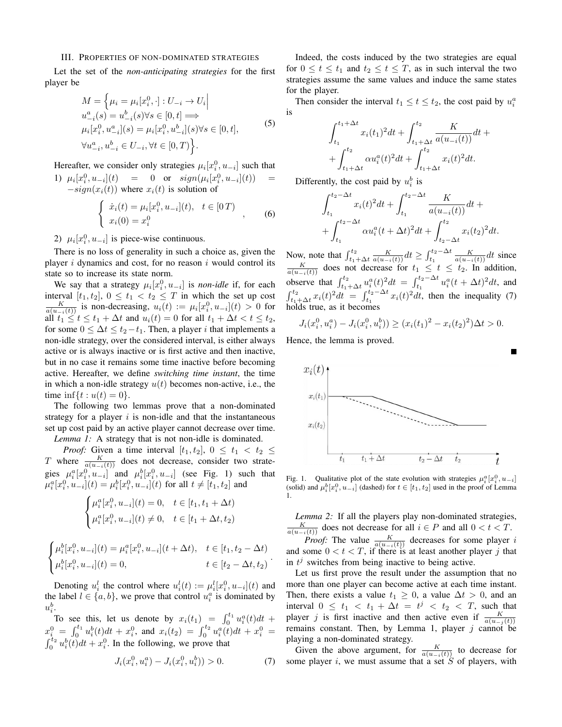#### III. PROPERTIES OF NON-DOMINATED STRATEGIES

Let the set of the *non-anticipating strategies* for the first player be

$$
M = \left\{ \mu_i = \mu_i[x_i^0, \cdot] : U_{-i} \to U_i \middle| \right\}
$$
  
\n
$$
u_{-i}^a(s) = u_{-i}^b(s) \forall s \in [0, t] \Longrightarrow
$$
  
\n
$$
\mu_i[x_i^0, u_{-i}^a](s) = \mu_i[x_i^0, u_{-i}^b](s) \forall s \in [0, t],
$$
  
\n
$$
\forall u_{-i}^a, u_{-i}^b \in U_{-i}, \forall t \in [0, T] \right\}.
$$
  
\n(5)

Hereafter, we consider only strategies  $\mu_i[x_i^0, u_{-i}]$  such that 1)  $\mu_i[x_i^0, u_{-i}](t) = 0$  or  $sign(\mu_i[x_i^0, u_{-i}](t)) =$  $-sign(x_i(t))$  where  $x_i(t)$  is solution of

$$
\begin{cases} \n\dot{x}_i(t) = \mu_i[x_i^0, u_{-i}](t), & t \in [0 \, T) \\
x_i(0) = x_i^0\n\end{cases} \tag{6}
$$

2)  $\mu_i[x_i^0, u_{-i}]$  is piece-wise continuous.

There is no loss of generality in such a choice as, given the player  $i$  dynamics and cost, for no reason  $i$  would control its state so to increase its state norm.

We say that a strategy  $\mu_i[x_i^0, u_{-i}]$  is *non-idle* if, for each interval  $[t_1, t_2], 0 \le t_1 < t_2 \le T$  in which the set up cost  $\frac{K}{a(u_{-i}(t))}$  is non-decreasing,  $u_i(t) := \mu_i[x_i^0, u_{-i}](t) > 0$  for all  $t_1 \leq t \leq t_1 + \Delta t$  and  $u_i(t) = 0$  for all  $t_1 + \Delta t < t \leq t_2$ , for some  $0 \leq \Delta t \leq t_2-t_1$ . Then, a player *i* that implements a non-idle strategy, over the considered interval, is either always active or is always inactive or is first active and then inactive, but in no case it remains some time inactive before becoming active. Hereafter, we define *switching time instant*, the time in which a non-idle strategy  $u(t)$  becomes non-active, i.e., the time  $\inf\{t : u(t) = 0\}.$ 

The following two lemmas prove that a non-dominated strategy for a player  $i$  is non-idle and that the instantaneous set up cost paid by an active player cannot decrease over time. *Lemma 1:* A strategy that is not non-idle is dominated.

*Proof:* Given a time interval  $[t_1, t_2]$ ,  $0 \le t_1 < t_2 \le$ T where  $\frac{K}{a(u_{-i}(t))}$  does not decrease, consider two strategies  $\mu_i^a[x_i^0, u_{-i}]$  and  $\mu_i^b[x_i^0, u_{-i}]$  (see Fig. 1) such that  $\mu_i^a[x_i^0, u_{-i}](t) = \mu_i^b[x_i^0, u_{-i}](t)$  for all  $t \neq [t_1, t_2]$  and

$$
\begin{cases} \mu_i^a[x_i^0, u_{-i}](t) = 0, & t \in [t_1, t_1 + \Delta t) \\ \mu_i^a[x_i^0, u_{-i}](t) \neq 0, & t \in [t_1 + \Delta t, t_2) \end{cases}
$$

$$
\begin{cases} \mu_i^b[x_i^0, u_{-i}](t) = \mu_i^a[x_i^0, u_{-i}](t + \Delta t), & t \in [t_1, t_2 - \Delta t) \\ \mu_i^b[x_i^0, u_{-i}](t) = 0, & t \in [t_2 - \Delta t, t_2) \end{cases}.
$$

Denoting  $u_i^l$  the control where  $u_i^l(t) := \mu_i^l[x_i^0, u_{-i}](t)$  and the label  $l \in \{a, b\}$ , we prove that control  $u_i^a$  is dominated by  $u_i^b$ .

To see this, let us denote by  $x_i(t_1) = \int_0^{t_1} u_i^a(t) dt +$  $x_i^0 = \int_0^{t_1} u_i^b(t)dt + x_i^0$ , and  $x_i(t_2) = \int_0^{t_2} u_i^a(t)dt + x_i^0 =$  $\int_0^{\tau_2} u_i^b(t)dt + x_i^0$ . In the following, we prove that

$$
J_i(x_i^0, u_i^a) - J_i(x_i^0, u_i^b)) > 0.
$$
 (7)

Indeed, the costs induced by the two strategies are equal for  $0 \le t \le t_1$  and  $t_2 \le t \le T$ , as in such interval the two strategies assume the same values and induce the same states for the player.

Then consider the interval  $t_1 \le t \le t_2$ , the cost paid by  $u_i^a$ is

$$
\int_{t_1}^{t_1+\Delta t} x_i(t_1)^2 dt + \int_{t_1+\Delta t}^{t_2} \frac{K}{a(u_{-i}(t))} dt + + \int_{t_1+\Delta t}^{t_2} \alpha u_i^a(t)^2 dt + \int_{t_1+\Delta t}^{t_2} x_i(t)^2 dt.
$$

Differently, the cost paid by  $u_i^b$  is

$$
\int_{t_1}^{t_2 - \Delta t} x_i(t)^2 dt + \int_{t_1}^{t_2 - \Delta t} \frac{K}{a(u_{-i}(t))} dt + + \int_{t_1}^{t_2 - \Delta t} \alpha u_i^a(t + \Delta t)^2 dt + \int_{t_2 - \Delta t}^{t_2} x_i(t_2)^2 dt.
$$

Now, note that  $\int_{t_1+\Delta t}^{t_2} \frac{K}{a(u_{-i}(t))} dt \ge \int_{t_1}^{t_2-\Delta t} \frac{K}{a(u_{-i}(t))} dt$  since  $\frac{K}{a(u_{-i}(t))}$  does not decrease for  $t_1 \le t \le t_2$ . In addition, observe that  $\int_{t_1+\Delta t}^{t_2} u_i^a(t)^2 dt = \int_{t_1}^{t_2-\Delta t} u_i^a(t + \Delta t)^2 dt$ , and  $\int_{t_1+\Delta t}^{t_2} x_i(t)^2 dt = \int_{t_1}^{t_2-\Delta t} x_i(t)^2 dt$ , then the inequality (7) holds true, as it becomes

$$
J_i(x_i^0, u_i^a) - J_i(x_i^0, u_i^b) \ge (x_i(t_1)^2 - x_i(t_2)^2) \Delta t > 0.
$$

Hence, the lemma is proved.



Fig. 1. Qualitative plot of the state evolution with strategies  $\mu_i^a[x_i^0, u_{-i}]$ (solid) and  $\mu_i^b[x_i^0, u_{-i}]$  (dashed) for  $t \in [t_1, t_2]$  used in the proof of Lemma 1.

*Lemma 2:* If all the players play non-dominated strategies,  $\frac{K}{a(u_{-i}(t))}$  does not decrease for all  $i \in P$  and all  $0 < t < T$ . *Proof:* The value  $\frac{K}{a(u-i(t))}$  decreases for some player i and some  $0 < t < T$ , if there is at least another player j that in  $t^j$  switches from being inactive to being active.

Let us first prove the result under the assumption that no more than one player can become active at each time instant. Then, there exists a value  $t_1 \geq 0$ , a value  $\Delta t > 0$ , and an interval  $0 \leq t_1 < t_1 + \Delta t = t^j < t_2 < T$ , such that player *j* is first inactive and then active even if  $\frac{K}{a(u_{-j}(t))}$ remains constant. Then, by Lemma 1, player  $j$  cannot be playing a non-dominated strategy.

Given the above argument, for  $\frac{K}{a(u_{-i}(t))}$  to decrease for some player i, we must assume that a set  $S$  of players, with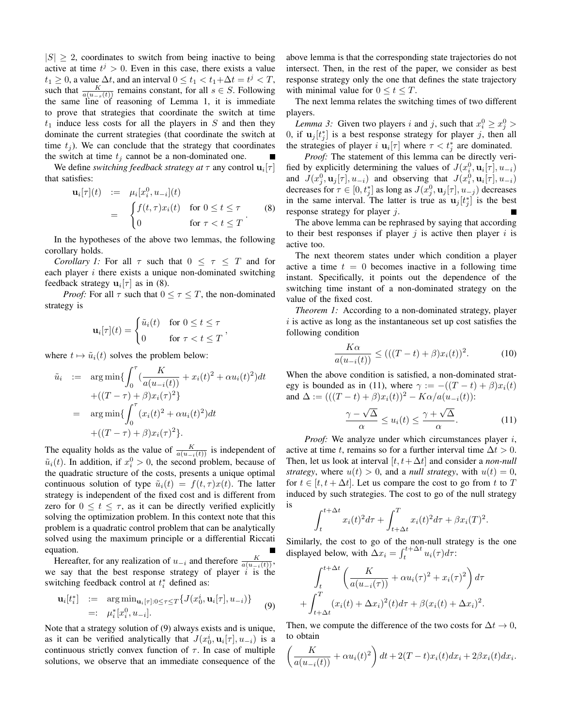$|S| > 2$ , coordinates to switch from being inactive to being active at time  $t^j > 0$ . Even in this case, there exists a value  $t_1 \geq 0$ , a value  $\Delta t$ , and an interval  $0 \leq t_1 < t_1 + \Delta t = t^j < T$ , such that  $\frac{K}{a(u-s(t))}$  remains constant, for all  $s \in S$ . Following the same line of reasoning of Lemma 1, it is immediate to prove that strategies that coordinate the switch at time  $t_1$  induce less costs for all the players in S and then they dominate the current strategies (that coordinate the switch at time  $t_i$ ). We can conclude that the strategy that coordinates the switch at time  $t_i$  cannot be a non-dominated one.

We define *switching feedback strategy at*  $\tau$  any control  $\mathbf{u}_i[\tau]$ that satisfies:

$$
\mathbf{u}_{i}[\tau](t) := \mu_{i}[x_{i}^{0}, u_{-i}](t)
$$
\n
$$
= \begin{cases} f(t, \tau)x_{i}(t) & \text{for } 0 \leq t \leq \tau \\ 0 & \text{for } \tau < t \leq T \end{cases} (8)
$$

In the hypotheses of the above two lemmas, the following corollary holds.

*Corollary 1:* For all  $\tau$  such that  $0 \leq \tau \leq T$  and for each player  $i$  there exists a unique non-dominated switching feedback strategy  $\mathbf{u}_i[\tau]$  as in (8).

*Proof:* For all  $\tau$  such that  $0 \leq \tau \leq T$ , the non-dominated strategy is

$$
\mathbf{u}_i[\tau](t) = \begin{cases} \tilde{u}_i(t) & \text{for } 0 \le t \le \tau \\ 0 & \text{for } \tau < t \le T \end{cases}
$$

where  $t \mapsto \tilde{u}_i(t)$  solves the problem below:

$$
\tilde{u}_i := \arg \min \{ \int_0^\tau (\frac{K}{a(u_{-i}(t))} + x_i(t)^2 + \alpha u_i(t)^2) dt \n+ ((T - \tau) + \beta) x_i(\tau)^2 \} \n= \arg \min \{ \int_0^\tau (x_i(t)^2 + \alpha u_i(t)^2) dt \n+ ((T - \tau) + \beta) x_i(\tau)^2 \}.
$$

The equality holds as the value of  $\frac{K}{a(u_{-i}(t))}$  is independent of  $\tilde{u}_i(t)$ . In addition, if  $x_i^0 > 0$ , the second problem, because of the quadratic structure of the costs, presents a unique optimal continuous solution of type  $\tilde{u}_i(t) = f(t, \tau)x(t)$ . The latter strategy is independent of the fixed cost and is different from zero for  $0 \le t \le \tau$ , as it can be directly verified explicitly solving the optimization problem. In this context note that this problem is a quadratic control problem that can be analytically solved using the maximum principle or a differential Riccati equation.

Hereafter, for any realization of  $u_{-i}$  and therefore  $\frac{K}{a(u_{-i}(t))}$ , we say that the best response strategy of player  $\hat{i}$  is the switching feedback control at  $t_i^*$  defined as:

$$
\mathbf{u}_{i}[t_{i}^{*}] := \arg \min_{\mathbf{u}_{i}[\tau]:0 \leq \tau \leq T} \{ J(x_{0}^{i}, \mathbf{u}_{i}[\tau], u_{-i}) \} =: \mu_{i}^{*}[x_{i}^{0}, u_{-i}].
$$
\n(9)

Note that a strategy solution of (9) always exists and is unique, as it can be verified analytically that  $J(x_0^i, \mathbf{u}_i[\tau], u_{-i})$  is a continuous strictly convex function of  $\tau$ . In case of multiple solutions, we observe that an immediate consequence of the above lemma is that the corresponding state trajectories do not intersect. Then, in the rest of the paper, we consider as best response strategy only the one that defines the state trajectory with minimal value for  $0 \le t \le T$ .

The next lemma relates the switching times of two different players.

*Lemma 3:* Given two players *i* and *j*, such that  $x_i^0 \ge x_j^0$ 0, if  $\mathbf{u}_j[t_j^*]$  is a best response strategy for player j, then all the strategies of player i  $\mathbf{u}_i[\tau]$  where  $\tau < t_j^*$  are dominated.

*Proof:* The statement of this lemma can be directly verified by explicitly determining the values of  $J(x_i^0, \mathbf{u}_i[\tau], u_{-i})$ and  $J(x_j^0, \mathbf{u}_j[\tau], u_{-i})$  and observing that  $J(x_i^0, \mathbf{u}_i[\tau], u_{-i})$ decreases for  $\tau \in [0, t_j^*]$  as long as  $J(x_j^0, \mathbf{u}_j[\tau], u_{-j})$  decreases in the same interval. The latter is true as  $\mathbf{u}_j[t_j^*]$  is the best response strategy for player j.

The above lemma can be rephrased by saying that according to their best responses if player  $j$  is active then player  $i$  is active too.

The next theorem states under which condition a player active a time  $t = 0$  becomes inactive in a following time instant. Specifically, it points out the dependence of the switching time instant of a non-dominated strategy on the value of the fixed cost.

*Theorem 1:* According to a non-dominated strategy, player  $i$  is active as long as the instantaneous set up cost satisfies the following condition

$$
\frac{K\alpha}{a(u_{-i}(t))} \le (( (T-t) + \beta)x_i(t))^2.
$$
 (10)

When the above condition is satisfied, a non-dominated strategy is bounded as in (11), where  $\gamma := -((T - t) + \beta)x_i(t)$ and  $\Delta := (((T - t) + \beta)x_i(t))^2 - K\alpha/a(u_{-i}(t))$ :

$$
\frac{\gamma - \sqrt{\Delta}}{\alpha} \le u_i(t) \le \frac{\gamma + \sqrt{\Delta}}{\alpha}.
$$
 (11)

*Proof:* We analyze under which circumstances player i, active at time t, remains so for a further interval time  $\Delta t > 0$ . Then, let us look at interval  $[t, t+\Delta t]$  and consider a *non-null strategy*, where  $u(t) > 0$ , and a *null strategy*, with  $u(t) = 0$ , for  $t \in [t, t + \Delta t]$ . Let us compare the cost to go from t to T induced by such strategies. The cost to go of the null strategy

$$
\int_t^{t+\Delta t} x_i(t)^2 d\tau + \int_{t+\Delta t}^T x_i(t)^2 d\tau + \beta x_i(T)^2.
$$

is

Similarly, the cost to go of the non-null strategy is the one displayed below, with  $\Delta x_i = \int_t^{t + \Delta t} u_i(\tau) d\tau$ :

$$
\int_{t}^{t+\Delta t} \left( \frac{K}{a(u_{-i}(\tau))} + \alpha u_i(\tau)^2 + x_i(\tau)^2 \right) d\tau
$$

$$
+ \int_{t+\Delta t}^{T} (x_i(t) + \Delta x_i)^2(t) d\tau + \beta (x_i(t) + \Delta x_i)^2.
$$

Then, we compute the difference of the two costs for  $\Delta t \to 0$ , to obtain

$$
\left(\frac{K}{a(u_{-i}(t))} + \alpha u_i(t)^2\right)dt + 2(T-t)x_i(t)dx_i + 2\beta x_i(t)dx_i.
$$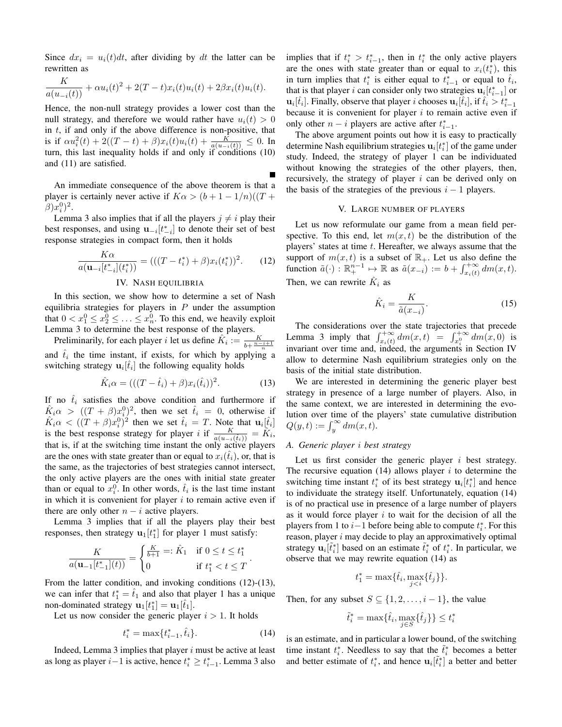Since  $dx_i = u_i(t)dt$ , after dividing by dt the latter can be rewritten as

$$
\frac{K}{a(u_{-i}(t))} + \alpha u_i(t)^2 + 2(T - t)x_i(t)u_i(t) + 2\beta x_i(t)u_i(t).
$$

Hence, the non-null strategy provides a lower cost than the null strategy, and therefore we would rather have  $u_i(t) > 0$ in  $t$ , if and only if the above difference is non-positive, that is if  $\alpha u_i^2(t) + 2((T-t) + \beta)x_i(t)u_i(t) + \frac{K}{a(u_{-i}(t))} \leq 0$ . In turn, this last inequality holds if and only if conditions (10) and (11) are satisfied.

An immediate consequence of the above theorem is that a player is certainly never active if  $K\alpha > (b+1-1/n)((T +$  $(\beta) x_i^0)^2$ .

Lemma 3 also implies that if all the players  $j \neq i$  play their best responses, and using  $\mathbf{u}_{-i}[t_{-i}^*]$  to denote their set of best response strategies in compact form, then it holds

$$
\frac{K\alpha}{a(\mathbf{u}_{-i}[t_{-i}^*](t_i^*))} = (((T - t_i^*) + \beta)x_i(t_i^*))^2.
$$
 (12)

#### IV. NASH EQUILIBRIA

In this section, we show how to determine a set of Nash equilibria strategies for players in  $P$  under the assumption that  $0 < x_1^0 \le x_2^0 \le \ldots \le x_n^0$ . To this end, we heavily exploit Lemma 3 to determine the best response of the players.

Preliminarily, for each player *i* let us define  $\hat{K}_i := \frac{K}{b + \frac{n-i+1}{n}}$ and  $\hat{t}_i$  the time instant, if exists, for which by applying a switching strategy  $\mathbf{u}_i[\hat{t}_i]$  the following equality holds

$$
\hat{K}_i \alpha = (( (T - \hat{t}_i) + \beta) x_i(\hat{t}_i))^2.
$$
 (13)

If no  $\hat{t}_i$  satisfies the above condition and furthermore if  $\hat{K}_i \alpha > ((T + \beta)x_i^0)^2$ , then we set  $\hat{t}_i = 0$ , otherwise if  $\hat{K}_i \alpha < ((T + \beta)x_i^0)^2$  then we set  $\hat{t}_i = T$ . Note that  $\mathbf{u}_i[\hat{t}_i]$ is the best response strategy for player *i* if  $\frac{K}{a(u_{-i}(\hat{t}_i))} = \hat{K}_i$ , that is, if at the switching time instant the only active players are the ones with state greater than or equal to  $x_i(\hat{t}_i)$ , or, that is the same, as the trajectories of best strategies cannot intersect, the only active players are the ones with initial state greater than or equal to  $x_i^0$ . In other words,  $\hat{t}_i$  is the last time instant in which it is convenient for player  $i$  to remain active even if there are only other  $n - i$  active players.

Lemma 3 implies that if all the players play their best responses, then strategy  $\mathbf{u}_1[t_1^*]$  for player 1 must satisfy:

$$
\frac{K}{a(\mathbf{u}_{-1}[t_{-1}^*](t))} = \begin{cases} \frac{K}{b+1} =: \hat{K}_1 & \text{if } 0 \le t \le t_1^* \\ 0 & \text{if } t_1^* < t \le T \end{cases}.
$$

From the latter condition, and invoking conditions (12)-(13), we can infer that  $t_1^* = \hat{t}_1$  and also that player 1 has a unique non-dominated strategy  $\mathbf{u}_1[t_1^*] = \mathbf{u}_1[\hat{t}_1]$ .

Let us now consider the generic player  $i > 1$ . It holds

$$
t_i^* = \max\{t_{i-1}^*, \hat{t}_i\}.
$$
 (14)

Indeed, Lemma 3 implies that player  $i$  must be active at least as long as player  $i-1$  is active, hence  $t_i^* \geq t_{i-1}^*$ . Lemma 3 also implies that if  $t_i^* > t_{i-1}^*$ , then in  $t_i^*$  the only active players are the ones with state greater than or equal to  $x_i(t_i^*)$ , this in turn implies that  $t_i^*$  is either equal to  $t_{i-1}^*$  or equal to  $\hat{t}_i$ , that is that player *i* can consider only two strategies  $\mathbf{u}_i[t_{i-1}^*]$  or  $\mathbf{u}_i[\hat{t}_i]$ . Finally, observe that player i chooses  $\mathbf{u}_i[\hat{t}_i]$ , if  $\hat{t}_i > t_{i-1}^*$ because it is convenient for player  $i$  to remain active even if only other  $n - i$  players are active after  $t_{i-1}^*$ .

The above argument points out how it is easy to practically determine Nash equilibrium strategies  $\mathbf{u}_i[t_i^*]$  of the game under study. Indeed, the strategy of player 1 can be individuated without knowing the strategies of the other players, then, recursively, the strategy of player i can be derived only on the basis of the strategies of the previous  $i - 1$  players.

#### V. LARGE NUMBER OF PLAYERS

Let us now reformulate our game from a mean field perspective. To this end, let  $m(x, t)$  be the distribution of the players' states at time  $t$ . Hereafter, we always assume that the support of  $m(x, t)$  is a subset of  $\mathbb{R}_+$ . Let us also define the function  $\tilde{a}(\cdot) : \mathbb{R}^{n-1}_+ \mapsto \mathbb{R}$  as  $\tilde{a}(x_{-i}) := b + \int_{x_i(t)}^{+\infty} dm(x, t)$ . Then, we can rewrite  $\hat{K}_i$  as

$$
\hat{K}_i = \frac{K}{\tilde{a}(x_{-i})}.\tag{15}
$$

The considerations over the state trajectories that precede Lemma 3 imply that  $\int_{x_i(t)}^{+\infty} dm(x, t) = \int_{x_i^0}^{+\infty} dm(x, 0)$  is invariant over time and, indeed, the arguments in Section IV allow to determine Nash equilibrium strategies only on the basis of the initial state distribution.

We are interested in determining the generic player best strategy in presence of a large number of players. Also, in the same context, we are interested in determining the evolution over time of the players' state cumulative distribution  $Q(y,t) := \int_y^\infty dm(x,t).$ 

#### *A. Generic player* i *best strategy*

Let us first consider the generic player  $i$  best strategy. The recursive equation (14) allows player  $i$  to determine the switching time instant  $t_i^*$  of its best strategy  $\mathbf{u}_i[t_i^*]$  and hence to individuate the strategy itself. Unfortunately, equation (14) is of no practical use in presence of a large number of players as it would force player  $i$  to wait for the decision of all the players from 1 to  $i-1$  before being able to compute  $t_i^*$ . For this reason, player  $i$  may decide to play an approximatively optimal strategy  $\mathbf{u}_i[\tilde{t}_i^*]$  based on an estimate  $\tilde{t}_i^*$  of  $t_i^*$ . In particular, we observe that we may rewrite equation (14) as

$$
t_1^* = \max\{\hat{t}_i, \max_{j < i} \{\hat{t}_j\}\}.
$$

Then, for any subset  $S \subseteq \{1, 2, \ldots, i-1\}$ , the value

$$
\tilde{t}_i^* = \max\{\hat{t}_i, \max_{j \in S} \{\hat{t}_j\}\} \le t_i^*
$$

is an estimate, and in particular a lower bound, of the switching time instant  $t_i^*$ . Needless to say that the  $\tilde{t}_i^*$  becomes a better and better estimate of  $t_i^*$ , and hence  $\mathbf{u}_i \left[ \tilde{t}_i^* \right]$  a better and better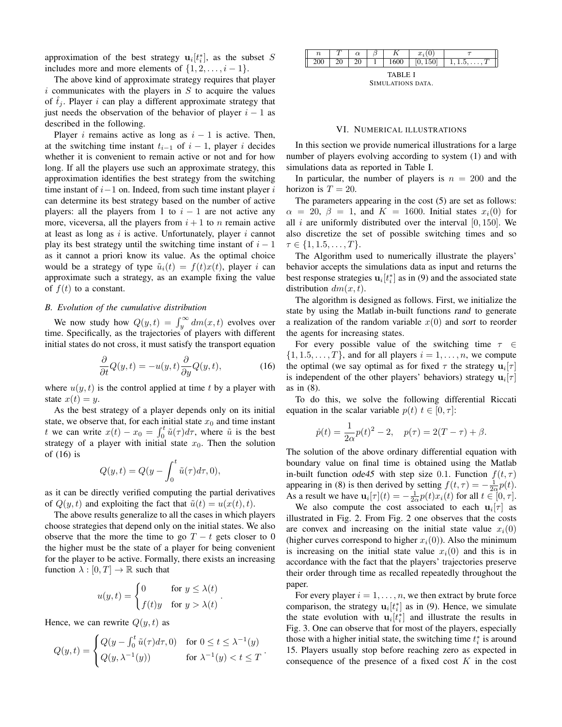approximation of the best strategy  $\mathbf{u}_i[t_i^*]$ , as the subset S includes more and more elements of  $\{1, 2, \ldots, i - 1\}.$ 

The above kind of approximate strategy requires that player  $i$  communicates with the players in  $S$  to acquire the values of  $\hat{t}_i$ . Player i can play a different approximate strategy that just needs the observation of the behavior of player  $i - 1$  as described in the following.

Player *i* remains active as long as  $i - 1$  is active. Then, at the switching time instant  $t_{i-1}$  of  $i-1$ , player i decides whether it is convenient to remain active or not and for how long. If all the players use such an approximate strategy, this approximation identifies the best strategy from the switching time instant of  $i-1$  on. Indeed, from such time instant player  $i$ can determine its best strategy based on the number of active players: all the players from 1 to  $i - 1$  are not active any more, viceversa, all the players from  $i + 1$  to n remain active at least as long as  $i$  is active. Unfortunately, player  $i$  cannot play its best strategy until the switching time instant of  $i - 1$ as it cannot a priori know its value. As the optimal choice would be a strategy of type  $\tilde{u}_i(t) = f(t)x(t)$ , player i can approximate such a strategy, as an example fixing the value of  $f(t)$  to a constant.

#### *B. Evolution of the cumulative distribution*

We now study how  $Q(y, t) = \int_y^{\infty} dm(x, t)$  evolves over time. Specifically, as the trajectories of players with different initial states do not cross, it must satisfy the transport equation

$$
\frac{\partial}{\partial t}Q(y,t) = -u(y,t)\frac{\partial}{\partial y}Q(y,t),\tag{16}
$$

where  $u(y, t)$  is the control applied at time t by a player with state  $x(t) = y$ .

As the best strategy of a player depends only on its initial state, we observe that, for each initial state  $x_0$  and time instant t we can write  $x(t) - x_0 = \int_0^t \tilde{u}(\tau) d\tau$ , where  $\tilde{u}$  is the best strategy of a player with initial state  $x_0$ . Then the solution of (16) is

$$
Q(y,t) = Q(y - \int_0^t \tilde{u}(\tau)d\tau, 0),
$$

as it can be directly verified computing the partial derivatives of  $Q(y, t)$  and exploiting the fact that  $\tilde{u}(t) = u(x(t), t)$ .

The above results generalize to all the cases in which players choose strategies that depend only on the initial states. We also observe that the more the time to go  $T - t$  gets closer to 0 the higher must be the state of a player for being convenient for the player to be active. Formally, there exists an increasing function  $\lambda : [0, T] \to \mathbb{R}$  such that

$$
u(y,t) = \begin{cases} 0 & \text{for } y \leq \lambda(t) \\ f(t)y & \text{for } y > \lambda(t) \end{cases}.
$$

Hence, we can rewrite  $Q(y, t)$  as

$$
Q(y,t) = \begin{cases} Q(y - \int_0^t \tilde{u}(\tau) d\tau, 0) & \text{for } 0 \le t \le \lambda^{-1}(y) \\ Q(y, \lambda^{-1}(y)) & \text{for } \lambda^{-1}(y) < t \le T \end{cases}.
$$

|  | $\boldsymbol{n}$ |    | $\alpha$       | ຼ |      | $x_i($<br>v           |  |
|--|------------------|----|----------------|---|------|-----------------------|--|
|  | 200              | ∠∪ | ാറ<br>ZU.<br>- |   | 1600 | 150 <sup>1</sup><br>v |  |
|  |                  |    |                |   |      |                       |  |

TABLE I SIMULATIONS DATA.

#### VI. NUMERICAL ILLUSTRATIONS

In this section we provide numerical illustrations for a large number of players evolving according to system (1) and with simulations data as reported in Table I.

In particular, the number of players is  $n = 200$  and the horizon is  $T = 20$ .

The parameters appearing in the cost (5) are set as follows:  $\alpha = 20, \beta = 1$ , and  $K = 1600$ . Initial states  $x_i(0)$  for all i are uniformly distributed over the interval  $[0, 150]$ . We also discretize the set of possible switching times and so  $\tau \in \{1, 1.5, \ldots, T\}.$ 

The Algorithm used to numerically illustrate the players' behavior accepts the simulations data as input and returns the best response strategies  $\mathbf{u}_i[t_i^*]$  as in (9) and the associated state distribution  $dm(x, t)$ .

The algorithm is designed as follows. First, we initialize the state by using the Matlab in-built functions rand to generate a realization of the random variable  $x(0)$  and sort to reorder the agents for increasing states.

For every possible value of the switching time  $\tau \in$  $\{1, 1.5, \ldots, T\}$ , and for all players  $i = 1, \ldots, n$ , we compute the optimal (we say optimal as for fixed  $\tau$  the strategy  $\mathbf{u}_i[\tau]$ is independent of the other players' behaviors) strategy  $\mathbf{u}_i[\tau]$ as in (8).

To do this, we solve the following differential Riccati equation in the scalar variable  $p(t)$   $t \in [0, \tau]$ :

$$
\dot{p}(t) = \frac{1}{2\alpha}p(t)^{2} - 2, \quad p(\tau) = 2(T - \tau) + \beta.
$$

The solution of the above ordinary differential equation with boundary value on final time is obtained using the Matlab in-built function ode45 with step size 0.1. Function  $f(t, \tau)$ appearing in (8) is then derived by setting  $f(t, \tau) = -\frac{1}{2\alpha}p(t)$ . As a result we have  $\mathbf{u}_i[\tau](t) = -\frac{1}{2\alpha}p(t)x_i(t)$  for all  $t \in [0, \tau]$ .

We also compute the cost associated to each  $\mathbf{u}_i[\tau]$  as illustrated in Fig. 2. From Fig. 2 one observes that the costs are convex and increasing on the initial state value  $x_i(0)$ (higher curves correspond to higher  $x_i(0)$ ). Also the minimum is increasing on the initial state value  $x_i(0)$  and this is in accordance with the fact that the players' trajectories preserve their order through time as recalled repeatedly throughout the paper.

For every player  $i = 1, \ldots, n$ , we then extract by brute force comparison, the strategy  $\mathbf{u}_i[t_i^*]$  as in (9). Hence, we simulate the state evolution with  $\mathbf{u}_i[t_i^*]$  and illustrate the results in Fig. 3. One can observe that for most of the players, especially those with a higher initial state, the switching time  $t_i^*$  is around 15. Players usually stop before reaching zero as expected in consequence of the presence of a fixed cost  $K$  in the cost